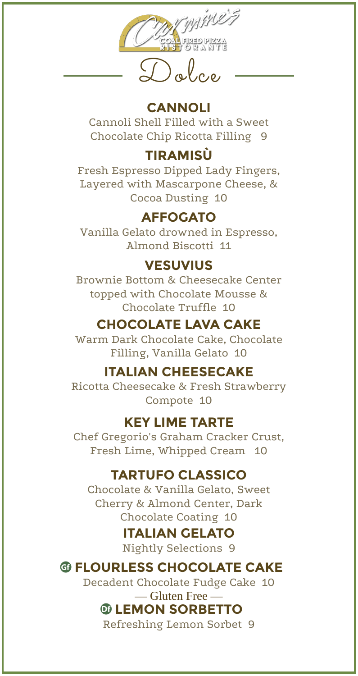

# **CANNOLI**

Cannoli Shell Filled with a Sweet Chocolate Chip Ricotta Filling 9

# **TIRAMISÙ**

Fresh Espresso Dipped Lady Fingers, Layered with Mascarpone Cheese, & Cocoa Dusting 10

## **AFFOGATO**

Vanilla Gelato drowned in Espresso, Almond Biscotti 11

### **VESUVIUS**

Brownie Bottom & Cheesecake Center topped with Chocolate Mousse & Chocolate Truffle 10

# **CHOCOLATE LAVA CAKE**

Warm Dark Chocolate Cake, Chocolate Filling, Vanilla Gelato 10

### **ITALIAN CHEESECAKE**

Ricotta Cheesecake & Fresh Strawberry Compote 10

### **KEY LIME TARTE**

Chef Gregorio's Graham Cracker Crust, Fresh Lime, Whipped Cream 10

## **TARTUFO CLASSICO**

Chocolate & Vanilla Gelato, Sweet Cherry & Almond Center, Dark Chocolate Coating 10

# **ITALIAN GELATO**

Nightly Selections 9

## **@ FLOURLESS CHOCOLATE CAKE**

Decadent Chocolate Fudge Cake 10

#### — Gluten Free — *<b>@ LEMON SORBETTO*

Refreshing Lemon Sorbet 9